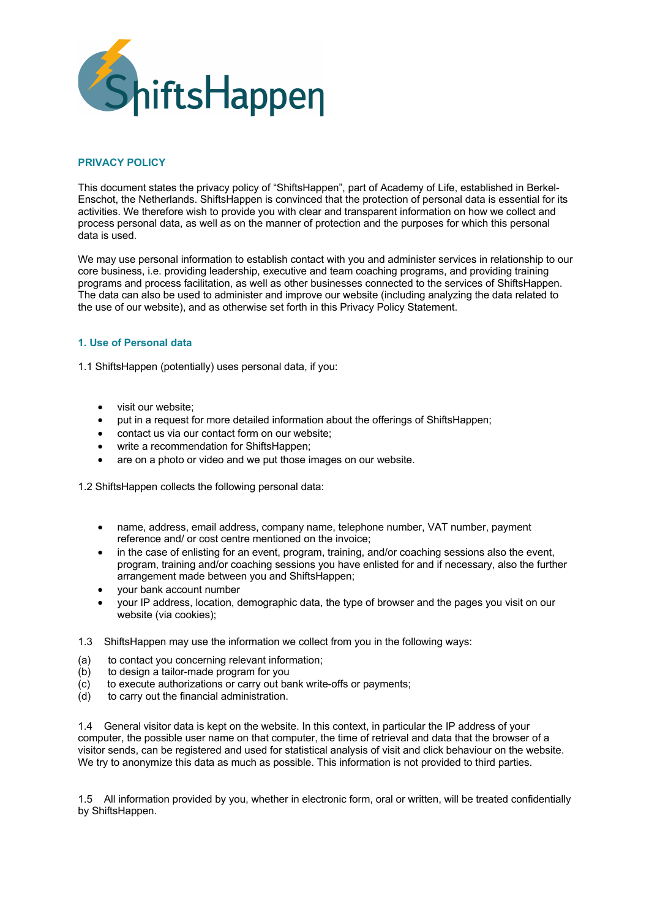

## **PRIVACY POLICY**

This document states the privacy policy of "ShiftsHappen", part of Academy of Life, established in Berkel-Enschot, the Netherlands. ShiftsHappen is convinced that the protection of personal data is essential for its activities. We therefore wish to provide you with clear and transparent information on how we collect and process personal data, as well as on the manner of protection and the purposes for which this personal data is used.

We may use personal information to establish contact with you and administer services in relationship to our core business, i.e. providing leadership, executive and team coaching programs, and providing training programs and process facilitation, as well as other businesses connected to the services of ShiftsHappen. The data can also be used to administer and improve our website (including analyzing the data related to the use of our website), and as otherwise set forth in this Privacy Policy Statement.

### **1. Use of Personal data**

1.1 ShiftsHappen (potentially) uses personal data, if you:

- visit our website;
- put in a request for more detailed information about the offerings of ShiftsHappen;
- contact us via our contact form on our website;
- write a recommendation for ShiftsHappen;
- are on a photo or video and we put those images on our website.

1.2 ShiftsHappen collects the following personal data:

- name, address, email address, company name, telephone number, VAT number, payment reference and/ or cost centre mentioned on the invoice;
- in the case of enlisting for an event, program, training, and/or coaching sessions also the event, program, training and/or coaching sessions you have enlisted for and if necessary, also the further arrangement made between you and ShiftsHappen;
- your bank account number
- your IP address, location, demographic data, the type of browser and the pages you visit on our website (via cookies);
- 1.3 ShiftsHappen may use the information we collect from you in the following ways:
- (a) to contact you concerning relevant information;
- (b) to design a tailor-made program for you
- (c) to execute authorizations or carry out bank write-offs or payments;
- (d) to carry out the financial administration.

1.4 General visitor data is kept on the website. In this context, in particular the IP address of your computer, the possible user name on that computer, the time of retrieval and data that the browser of a visitor sends, can be registered and used for statistical analysis of visit and click behaviour on the website. We try to anonymize this data as much as possible. This information is not provided to third parties.

1.5 All information provided by you, whether in electronic form, oral or written, will be treated confidentially by ShiftsHappen.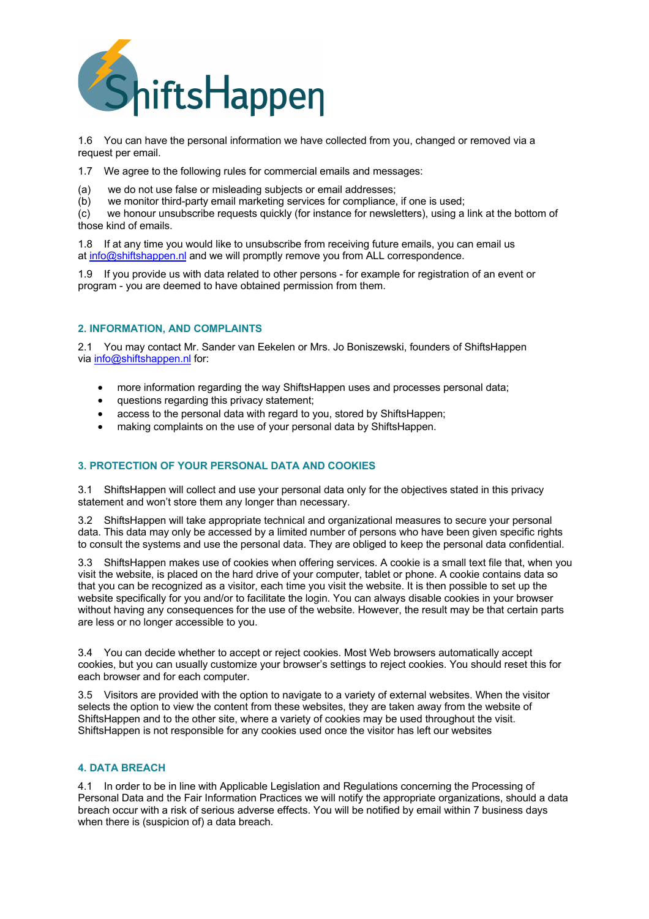

1.6 You can have the personal information we have collected from you, changed or removed via a request per email.

1.7 We agree to the following rules for commercial emails and messages:

(a) we do not use false or misleading subjects or email addresses;

(b) we monitor third-party email marketing services for compliance, if one is used;

(c) we honour unsubscribe requests quickly (for instance for newsletters), using a link at the bottom of those kind of emails.

1.8 If at any time you would like to unsubscribe from receiving future emails, you can email us at info@shiftshappen.nl and we will promptly remove you from ALL correspondence.

1.9 If you provide us with data related to other persons - for example for registration of an event or program - you are deemed to have obtained permission from them.

# **2. INFORMATION, AND COMPLAINTS**

2.1 You may contact Mr. Sander van Eekelen or Mrs. Jo Boniszewski, founders of ShiftsHappen via info@shiftshappen.nl for:

- more information regarding the way ShiftsHappen uses and processes personal data;
- questions regarding this privacy statement;
- access to the personal data with regard to you, stored by ShiftsHappen;
- making complaints on the use of your personal data by ShiftsHappen.

## **3. PROTECTION OF YOUR PERSONAL DATA AND COOKIES**

3.1 ShiftsHappen will collect and use your personal data only for the objectives stated in this privacy statement and won't store them any longer than necessary.

3.2 ShiftsHappen will take appropriate technical and organizational measures to secure your personal data. This data may only be accessed by a limited number of persons who have been given specific rights to consult the systems and use the personal data. They are obliged to keep the personal data confidential.

3.3 ShiftsHappen makes use of cookies when offering services. A cookie is a small text file that, when you visit the website, is placed on the hard drive of your computer, tablet or phone. A cookie contains data so that you can be recognized as a visitor, each time you visit the website. It is then possible to set up the website specifically for you and/or to facilitate the login. You can always disable cookies in your browser without having any consequences for the use of the website. However, the result may be that certain parts are less or no longer accessible to you.

3.4 You can decide whether to accept or reject cookies. Most Web browsers automatically accept cookies, but you can usually customize your browser's settings to reject cookies. You should reset this for each browser and for each computer.

3.5 Visitors are provided with the option to navigate to a variety of external websites. When the visitor selects the option to view the content from these websites, they are taken away from the website of ShiftsHappen and to the other site, where a variety of cookies may be used throughout the visit. ShiftsHappen is not responsible for any cookies used once the visitor has left our websites

### **4. DATA BREACH**

4.1 In order to be in line with Applicable Legislation and Regulations concerning the Processing of Personal Data and the Fair Information Practices we will notify the appropriate organizations, should a data breach occur with a risk of serious adverse effects. You will be notified by email within 7 business days when there is (suspicion of) a data breach.